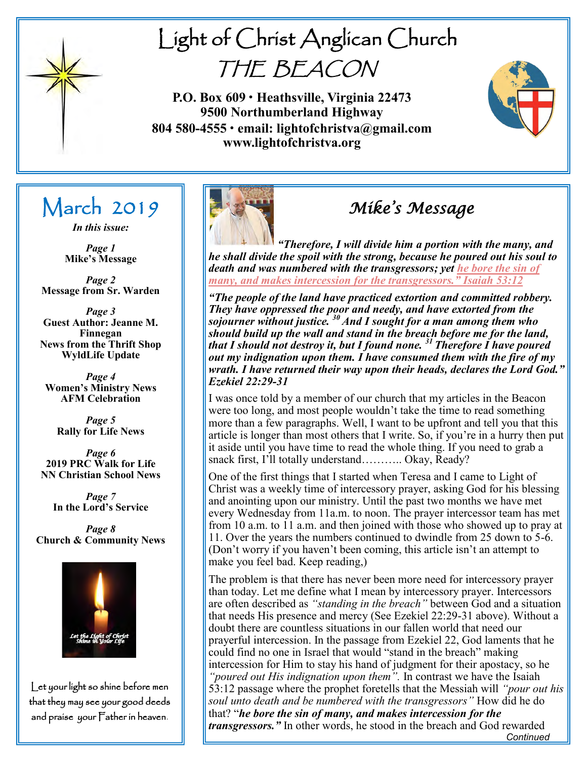

# Light of Christ Anglican Church THE BEACON

**P.O. Box 609 • Heathsville, Virginia 22473 9500 Northumberland Highway 804 580-4555 • email: lightofchristva@gmail.com www.lightofchristva.org**



## March 2019

*In this issue:*

*Page 1* **Mike's Message**

*Page 2* **Message from Sr. Warden**

*Page 3* **Guest Author: Jeanne M. Finnegan News from the Thrift Shop WyldLife Update**

*Page 4* **Women's Ministry News AFM Celebration** 

> *Page 5* **Rally for Life News**

*Page 6* **2019 PRC Walk for Life NN Christian School News**

*Page 7* **In the Lord's Service**

*Page 8* **Church & Community News**



Let your light so shine before men that they may see your good deeds and praise your Father in heaven.



## *Mike's Message*

*"Therefore, I will divide him a portion with the many, and he shall divide the spoil with the strong, because he poured out his soul to death and was numbered with the transgressors; yet he bore the sin of many, and makes intercession for the transgressors." Isaiah 53:12*

*"The people of the land have practiced extortion and committed robbery. They have oppressed the poor and needy, and have extorted from the sojourner without justice. <sup>30</sup>And I sought for a man among them who should build up the wall and stand in the breach before me for the land, that I should not destroy it, but I found none. <sup>31</sup> Therefore I have poured out my indignation upon them. I have consumed them with the fire of my wrath. I have returned their way upon their heads, declares the Lord God." Ezekiel 22:29-31*

I was once told by a member of our church that my articles in the Beacon were too long, and most people wouldn't take the time to read something more than a few paragraphs. Well, I want to be upfront and tell you that this article is longer than most others that I write. So, if you're in a hurry then put it aside until you have time to read the whole thing. If you need to grab a snack first, I'll totally understand……….. Okay, Ready?

One of the first things that I started when Teresa and I came to Light of Christ was a weekly time of intercessory prayer, asking God for his blessing and anointing upon our ministry. Until the past two months we have met every Wednesday from 11a.m. to noon. The prayer intercessor team has met from 10 a.m. to 11 a.m. and then joined with those who showed up to pray at 11. Over the years the numbers continued to dwindle from 25 down to 5-6. (Don't worry if you haven't been coming, this article isn't an attempt to make you feel bad. Keep reading,)

*Continued*  The problem is that there has never been more need for intercessory prayer than today. Let me define what I mean by intercessory prayer. Intercessors are often described as *"standing in the breach"* between God and a situation that needs His presence and mercy (See Ezekiel 22:29-31 above). Without a doubt there are countless situations in our fallen world that need our prayerful intercession. In the passage from Ezekiel 22, God laments that he could find no one in Israel that would "stand in the breach" making intercession for Him to stay his hand of judgment for their apostacy, so he *"poured out His indignation upon them".* In contrast we have the Isaiah 53:12 passage where the prophet foretells that the Messiah will *"pour out his soul unto death and be numbered with the transgressors"* How did he do that? "*he bore the sin of many, and makes intercession for the transgressors."* In other words, he stood in the breach and God rewarded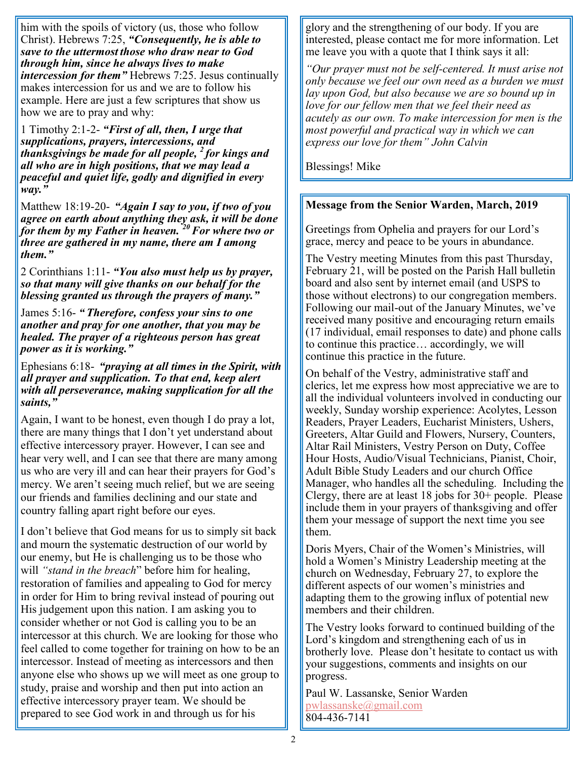him with the spoils of victory (us, those who follow Christ). Hebrews 7:25, *"Consequently, he is able to save to the uttermost those who draw near to God through him, since he always lives to make intercession for them"* Hebrews 7:25. Jesus continually makes intercession for us and we are to follow his example. Here are just a few scriptures that show us how we are to pray and why:

1 Timothy 2:1-2- *"First of all, then, I urge that supplications, prayers, intercessions, and thanksgivings be made for all people, <sup>2</sup> for kings and all who are in high positions, that we may lead a peaceful and quiet life, godly and dignified in every way."*

Matthew 18:19-20- *"Again I say to you, if two of you agree on earth about anything they ask, it will be done for them by my Father in heaven. <sup>20</sup>For where two or three are gathered in my name, there am I among them."*

2 Corinthians 1:11- *"You also must help us by prayer, so that many will give thanks on our behalf for the blessing granted us through the prayers of many."*

James 5:16- *" Therefore, confess your sins to one another and pray for one another, that you may be healed. The prayer of a righteous person has great power as it is working."*

Ephesians 6:18- *"praying at all times in the Spirit, with all prayer and supplication. To that end, keep alert with all perseverance, making supplication for all the saints,"*

Again, I want to be honest, even though I do pray a lot, there are many things that I don't yet understand about effective intercessory prayer. However, I can see and hear very well, and I can see that there are many among us who are very ill and can hear their prayers for God's mercy. We aren't seeing much relief, but we are seeing our friends and families declining and our state and country falling apart right before our eyes.

I don't believe that God means for us to simply sit back and mourn the systematic destruction of our world by our enemy, but He is challenging us to be those who will *"stand in the breach*" before him for healing, restoration of families and appealing to God for mercy in order for Him to bring revival instead of pouring out His judgement upon this nation. I am asking you to consider whether or not God is calling you to be an intercessor at this church. We are looking for those who feel called to come together for training on how to be an intercessor. Instead of meeting as intercessors and then anyone else who shows up we will meet as one group to study, praise and worship and then put into action an effective intercessory prayer team. We should be prepared to see God work in and through us for his

glory and the strengthening of our body. If you are interested, please contact me for more information. Let me leave you with a quote that I think says it all:

*"Our prayer must not be self-centered. It must arise not only because we feel our own need as a burden we must lay upon God, but also because we are so bound up in love for our fellow men that we feel their need as acutely as our own. To make intercession for men is the most powerful and practical way in which we can express our love for them" John Calvin*

Blessings! Mike

#### **Message from the Senior Warden, March, 2019**

Greetings from Ophelia and prayers for our Lord's grace, mercy and peace to be yours in abundance.

The Vestry meeting Minutes from this past Thursday, February 21, will be posted on the Parish Hall bulletin board and also sent by internet email (and USPS to those without electrons) to our congregation members. Following our mail-out of the January Minutes, we've received many positive and encouraging return emails (17 individual, email responses to date) and phone calls to continue this practice… accordingly, we will continue this practice in the future.

On behalf of the Vestry, administrative staff and clerics, let me express how most appreciative we are to all the individual volunteers involved in conducting our weekly, Sunday worship experience: Acolytes, Lesson Readers, Prayer Leaders, Eucharist Ministers, Ushers, Greeters, Altar Guild and Flowers, Nursery, Counters, Altar Rail Ministers, Vestry Person on Duty, Coffee Hour Hosts, Audio/Visual Technicians, Pianist, Choir, Adult Bible Study Leaders and our church Office Manager, who handles all the scheduling. Including the Clergy, there are at least 18 jobs for 30+ people. Please include them in your prayers of thanksgiving and offer them your message of support the next time you see them.

Doris Myers, Chair of the Women's Ministries, will hold a Women's Ministry Leadership meeting at the church on Wednesday, February 27, to explore the different aspects of our women's ministries and adapting them to the growing influx of potential new members and their children.

The Vestry looks forward to continued building of the Lord's kingdom and strengthening each of us in brotherly love. Please don't hesitate to contact us with your suggestions, comments and insights on our progress.

Paul W. Lassanske, Senior Warden [pwlassanske@gmail.com](mailto:pwlassanske@gmail.com) 804-436-7141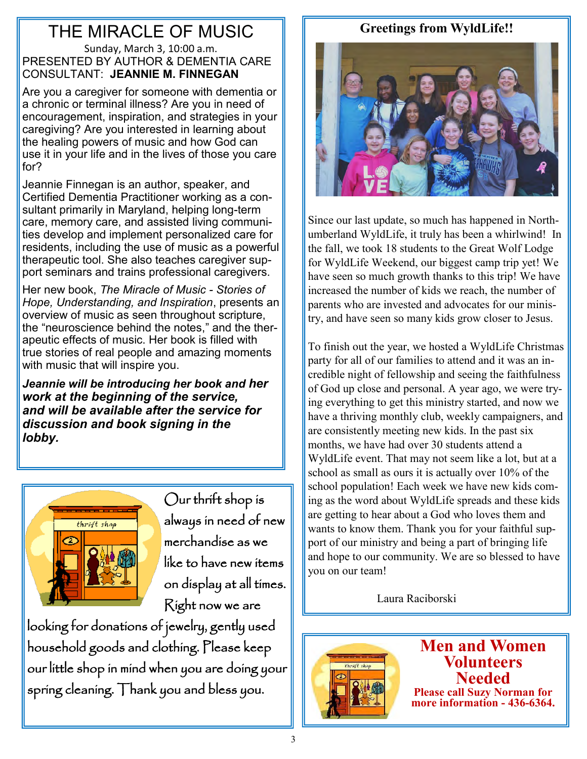## THE MIRACLE OF MUSIC

#### Sunday, March 3, 10:00 a.m. PRESENTED BY AUTHOR & DEMENTIA CARE CONSULTANT: **JEANNIE M. FINNEGAN**

Are you a caregiver for someone with dementia or a chronic or terminal illness? Are you in need of encouragement, inspiration, and strategies in your caregiving? Are you interested in learning about the healing powers of music and how God can use it in your life and in the lives of those you care for?

Jeannie Finnegan is an author, speaker, and Certified Dementia Practitioner working as a consultant primarily in Maryland, helping long-term care, memory care, and assisted living communities develop and implement personalized care for residents, including the use of music as a powerful therapeutic tool. She also teaches caregiver support seminars and trains professional caregivers.

Her new book, *The Miracle of Music - Stories of Hope, Understanding, and Inspiration*, presents an overview of music as seen throughout scripture, the "neuroscience behind the notes," and the therapeutic effects of music. Her book is filled with true stories of real people and amazing moments with music that will inspire you.

*Jeannie will be introducing her book and her work at the beginning of the service, and will be available after the service for discussion and book signing in the lobby.*



Our thrift shop is always in need of new merchandise as we like to have new items on display at all times. Right now we are

looking for donations of jewelry, gently used household goods and clothing. Please keep our little shop in mind when you are doing your spring cleaning. Thank you and bless you.

### **Greetings from WyldLife!!**



Since our last update, so much has happened in Northumberland WyldLife, it truly has been a whirlwind! In the fall, we took 18 students to the Great Wolf Lodge for WyldLife Weekend, our biggest camp trip yet! We have seen so much growth thanks to this trip! We have increased the number of kids we reach, the number of parents who are invested and advocates for our ministry, and have seen so many kids grow closer to Jesus.

To finish out the year, we hosted a WyldLife Christmas party for all of our families to attend and it was an incredible night of fellowship and seeing the faithfulness of God up close and personal. A year ago, we were trying everything to get this ministry started, and now we have a thriving monthly club, weekly campaigners, and are consistently meeting new kids. In the past six months, we have had over 30 students attend a WyldLife event. That may not seem like a lot, but at a school as small as ours it is actually over 10% of the school population! Each week we have new kids coming as the word about WyldLife spreads and these kids are getting to hear about a God who loves them and wants to know them. Thank you for your faithful support of our ministry and being a part of bringing life and hope to our community. We are so blessed to have you on our team!

Laura Raciborski



**Men and Women Volunteers Needed Please call Suzy Norman for more information - 436-6364.**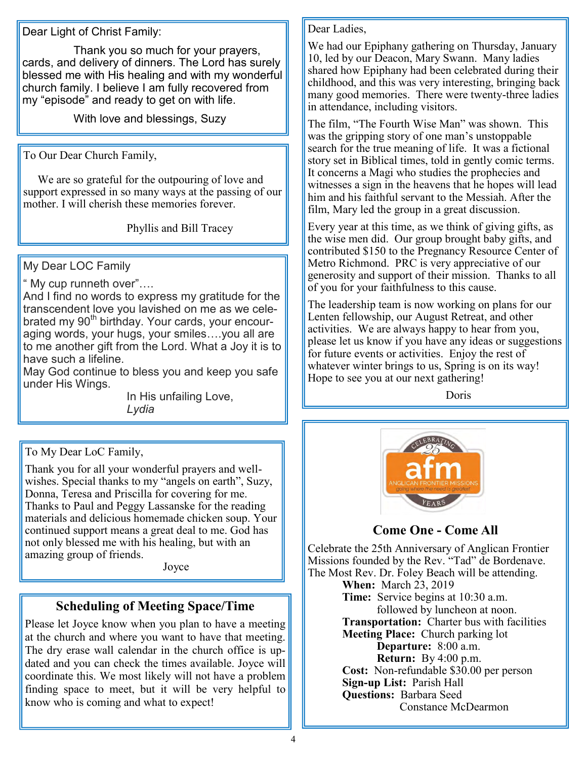Dear Light of Christ Family:

 Thank you so much for your prayers, cards, and delivery of dinners. The Lord has surely blessed me with His healing and with my wonderful church family. I believe I am fully recovered from my "episode" and ready to get on with life.

With love and blessings, Suzy

To Our Dear Church Family,

 We are so grateful for the outpouring of love and support expressed in so many ways at the passing of our mother. I will cherish these memories forever.

Phyllis and Bill Tracey

My Dear LOC Family

" My cup runneth over"….

And I find no words to express my gratitude for the transcendent love you lavished on me as we celebrated my 90<sup>th</sup> birthday. Your cards, your encouraging words, your hugs, your smiles….you all are to me another gift from the Lord. What a Joy it is to have such a lifeline.

May God continue to bless you and keep you safe under His Wings.

In His unfailing Love, *Lydia*

To My Dear LoC Family,

Thank you for all your wonderful prayers and wellwishes. Special thanks to my "angels on earth", Suzy, Donna, Teresa and Priscilla for covering for me. Thanks to Paul and Peggy Lassanske for the reading materials and delicious homemade chicken soup. Your continued support means a great deal to me. God has not only blessed me with his healing, but with an amazing group of friends.

Joyce

### **Scheduling of Meeting Space/Time**

Please let Joyce know when you plan to have a meeting at the church and where you want to have that meeting. The dry erase wall calendar in the church office is updated and you can check the times available. Joyce will coordinate this. We most likely will not have a problem finding space to meet, but it will be very helpful to know who is coming and what to expect!

#### Dear Ladies,

We had our Epiphany gathering on Thursday, January 10, led by our Deacon, Mary Swann. Many ladies shared how Epiphany had been celebrated during their childhood, and this was very interesting, bringing back many good memories. There were twenty-three ladies in attendance, including visitors.

The film, "The Fourth Wise Man" was shown. This was the gripping story of one man's unstoppable search for the true meaning of life. It was a fictional story set in Biblical times, told in gently comic terms. It concerns a Magi who studies the prophecies and witnesses a sign in the heavens that he hopes will lead him and his faithful servant to the Messiah. After the film, Mary led the group in a great discussion.

Every year at this time, as we think of giving gifts, as the wise men did. Our group brought baby gifts, and contributed \$150 to the Pregnancy Resource Center of Metro Richmond. PRC is very appreciative of our generosity and support of their mission. Thanks to all of you for your faithfulness to this cause.

The leadership team is now working on plans for our Lenten fellowship, our August Retreat, and other activities. We are always happy to hear from you, please let us know if you have any ideas or suggestions for future events or activities. Enjoy the rest of whatever winter brings to us, Spring is on its way! Hope to see you at our next gathering!

**Doris** 



**Come One - Come All**

Celebrate the 25th Anniversary of Anglican Frontier Missions founded by the Rev. "Tad" de Bordenave. The Most Rev. Dr. Foley Beach will be attending.

**When:** March 23, 2019 **Time:** Service begins at 10:30 a.m. followed by luncheon at noon. **Transportation:** Charter bus with facilities **Meeting Place:** Church parking lot **Departure:** 8:00 a.m. **Return:** By 4:00 p.m. **Cost:** Non-refundable \$30.00 per person **Sign-up List:** Parish Hall **Questions:** Barbara Seed Constance McDearmon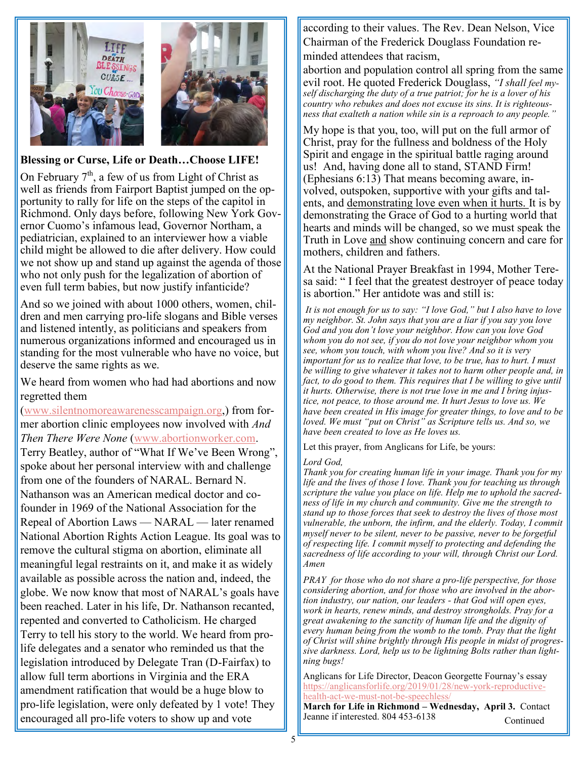

#### **Blessing or Curse, Life or Death…Choose LIFE!**

On February  $7<sup>th</sup>$ , a few of us from Light of Christ as well as friends from Fairport Baptist jumped on the opportunity to rally for life on the steps of the capitol in Richmond. Only days before, following New York Governor Cuomo's infamous lead, Governor Northam, a pediatrician, explained to an interviewer how a viable child might be allowed to die after delivery. How could we not show up and stand up against the agenda of those who not only push for the legalization of abortion of even full term babies, but now justify infanticide?

And so we joined with about 1000 others, women, children and men carrying pro-life slogans and Bible verses and listened intently, as politicians and speakers from numerous organizations informed and encouraged us in standing for the most vulnerable who have no voice, but deserve the same rights as we.

We heard from women who had had abortions and now regretted them

[\(www.silentnomoreawarenesscampaign.org,\)](http://www.silentnomoreawarenesscampaign.org) from former abortion clinic employees now involved with *And Then There Were None* ([www.abortionworker.com.](http://www.abortionworker.com)  Terry Beatley, author of "What If We've Been Wrong", spoke about her personal interview with and challenge from one of the founders of NARAL. Bernard N. Nathanson was an American medical doctor and cofounder in 1969 of the National Association for the Repeal of Abortion Laws — NARAL — later renamed National Abortion Rights Action League. Its goal was to remove the cultural stigma on abortion, eliminate all meaningful legal restraints on it, and make it as widely available as possible across the nation and, indeed, the globe. We now know that most of NARAL's goals have been reached. Later in his life, Dr. Nathanson recanted, repented and converted to Catholicism. He charged Terry to tell his story to the world. We heard from prolife delegates and a senator who reminded us that the legislation introduced by Delegate Tran (D-Fairfax) to allow full term abortions in Virginia and the ERA amendment ratification that would be a huge blow to pro-life legislation, were only defeated by 1 vote! They encouraged all pro-life voters to show up and vote

according to their values. The Rev. Dean Nelson, Vice Chairman of the Frederick Douglass Foundation reminded attendees that racism,

abortion and population control all spring from the same evil root. He quoted Frederick Douglass, *"I shall feel myself discharging the duty of a true patriot; for he is a lover of his country who rebukes and does not excuse its sins. It is righteousness that exalteth a nation while sin is a reproach to any people."*

My hope is that you, too, will put on the full armor of Christ, pray for the fullness and boldness of the Holy Spirit and engage in the spiritual battle raging around us! And, having done all to stand, STAND Firm! (Ephesians 6:13) That means becoming aware, involved, outspoken, supportive with your gifts and talents, and demonstrating love even when it hurts. It is by demonstrating the Grace of God to a hurting world that hearts and minds will be changed, so we must speak the Truth in Love and show continuing concern and care for mothers, children and fathers.

At the National Prayer Breakfast in 1994, Mother Teresa said: " I feel that the greatest destroyer of peace today is abortion." Her antidote was and still is:

*It is not enough for us to say: "I love God," but I also have to love my neighbor. St. John says that you are a liar if you say you love God and you don't love your neighbor. How can you love God whom you do not see, if you do not love your neighbor whom you see, whom you touch, with whom you live? And so it is very important for us to realize that love, to be true, has to hurt. I must be willing to give whatever it takes not to harm other people and, in fact, to do good to them. This requires that I be willing to give until it hurts. Otherwise, there is not true love in me and I bring injustice, not peace, to those around me. It hurt Jesus to love us. We have been created in His image for greater things, to love and to be loved. We must "put on Christ" as Scripture tells us. And so, we have been created to love as He loves us.*

Let this prayer, from Anglicans for Life, be yours:

#### *Lord God,*

*Thank you for creating human life in your image. Thank you for my life and the lives of those I love. Thank you for teaching us through scripture the value you place on life. Help me to uphold the sacredness of life in my church and community. Give me the strength to stand up to those forces that seek to destroy the lives of those most vulnerable, the unborn, the infirm, and the elderly. Today, I commit myself never to be silent, never to be passive, never to be forgetful of respecting life. I commit myself to protecting and defending the sacredness of life according to your will, through Christ our Lord. Amen*

*PRAY for those who do not share a pro-life perspective, for those considering abortion, and for those who are involved in the abortion industry, our nation, our leaders - that God will open eyes, work in hearts, renew minds, and destroy strongholds. Pray for a great awakening to the sanctity of human life and the dignity of every human being from the womb to the tomb. Pray that the light of Christ will shine brightly through His people in midst of progressive darkness. Lord, help us to be lightning Bolts rather than lightning bugs!*

Anglicans for Life Director, Deacon Georgette Fournay's essay [https://anglicansforlife.org/2019/01/28/new](https://anglicansforlife.org/2019/01/28/new-york-reproductive-health-act-we-must-not-be-speechless/)-york-reproductivehealth-act-we-must-not-be-[speechless/](https://anglicansforlife.org/2019/01/28/new-york-reproductive-health-act-we-must-not-be-speechless/) 

**March for Life in Richmond – Wednesday, April 3.** Contact Jeanne if interested. 804 453-6138 Continued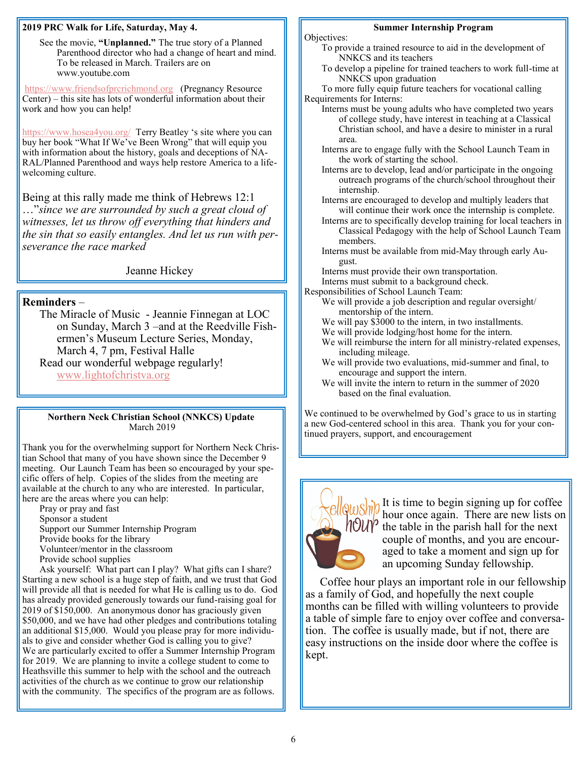#### **2019 PRC Walk for Life, Saturday, May 4.**

See the movie, **"Unplanned."** The true story of a Planned Parenthood director who had a change of heart and mind. To be released in March. Trailers are on www.youtube.com

<https://www.friendsofprcrichmond.org>(Pregnancy Resource Center) – this site has lots of wonderful information about their work and how you can help!

<https://www.hosea4you.org/>Terry Beatley 's site where you can buy her book "What If We've Been Wrong" that will equip you with information about the history, goals and deceptions of NA-RAL/Planned Parenthood and ways help restore America to a lifewelcoming culture.

Being at this rally made me think of Hebrews 12:1 …"*since we are surrounded by such a great cloud of witnesses, let us throw off everything that hinders and the sin that so easily entangles. And let us run with perseverance the race marked* 

Jeanne Hickey

#### **Reminders** –

The Miracle of Music - Jeannie Finnegan at LOC on Sunday, March 3 –and at the Reedville Fishermen's Museum Lecture Series, Monday, March 4, 7 pm, Festival Halle Read our wonderful webpage regularly! [www.lightofchristva.org](http://www.lightofchristva.org)

#### **Northern Neck Christian School (NNKCS) Update** March 2019

Thank you for the overwhelming support for Northern Neck Christian School that many of you have shown since the December 9 meeting. Our Launch Team has been so encouraged by your specific offers of help. Copies of the slides from the meeting are available at the church to any who are interested. In particular, here are the areas where you can help:

Pray or pray and fast

- Sponsor a student
- Support our Summer Internship Program
- Provide books for the library
- Volunteer/mentor in the classroom
- Provide school supplies

Ask yourself: What part can I play? What gifts can I share? Starting a new school is a huge step of faith, and we trust that God will provide all that is needed for what He is calling us to do. God has already provided generously towards our fund-raising goal for 2019 of \$150,000. An anonymous donor has graciously given \$50,000, and we have had other pledges and contributions totaling an additional \$15,000. Would you please pray for more individuals to give and consider whether God is calling you to give? We are particularly excited to offer a Summer Internship Program for 2019. We are planning to invite a college student to come to Heathsville this summer to help with the school and the outreach activities of the church as we continue to grow our relationship with the community. The specifics of the program are as follows.

#### **Summer Internship Program**

Objectives:

- To provide a trained resource to aid in the development of NNKCS and its teachers
- To develop a pipeline for trained teachers to work full-time at NNKCS upon graduation

To more fully equip future teachers for vocational calling Requirements for Interns:

- Interns must be young adults who have completed two years of college study, have interest in teaching at a Classical Christian school, and have a desire to minister in a rural area.
- Interns are to engage fully with the School Launch Team in the work of starting the school.
- Interns are to develop, lead and/or participate in the ongoing outreach programs of the church/school throughout their internship.
- Interns are encouraged to develop and multiply leaders that will continue their work once the internship is complete.
- Interns are to specifically develop training for local teachers in Classical Pedagogy with the help of School Launch Team members.
- Interns must be available from mid-May through early August.
- Interns must provide their own transportation.

Interns must submit to a background check.

Responsibilities of School Launch Team:

- We will provide a job description and regular oversight/ mentorship of the intern.
- We will pay \$3000 to the intern, in two installments.
- We will provide lodging/host home for the intern.
- We will reimburse the intern for all ministry-related expenses, including mileage.
- We will provide two evaluations, mid-summer and final, to encourage and support the intern.
- We will invite the intern to return in the summer of 2020 based on the final evaluation.

We continued to be overwhelmed by God's grace to us in starting a new God-centered school in this area. Thank you for your continued prayers, support, and encouragement



 $\frac{1}{2}$   $\frac{1}{2}$  It is time to begin signing up for coffee hour once again. There are new lists on  $\eta$ OU $\gamma$  the table in the parish hall for the next couple of months, and you are encouraged to take a moment and sign up for an upcoming Sunday fellowship.

 Coffee hour plays an important role in our fellowship as a family of God, and hopefully the next couple months can be filled with willing volunteers to provide a table of simple fare to enjoy over coffee and conversation. The coffee is usually made, but if not, there are easy instructions on the inside door where the coffee is kept.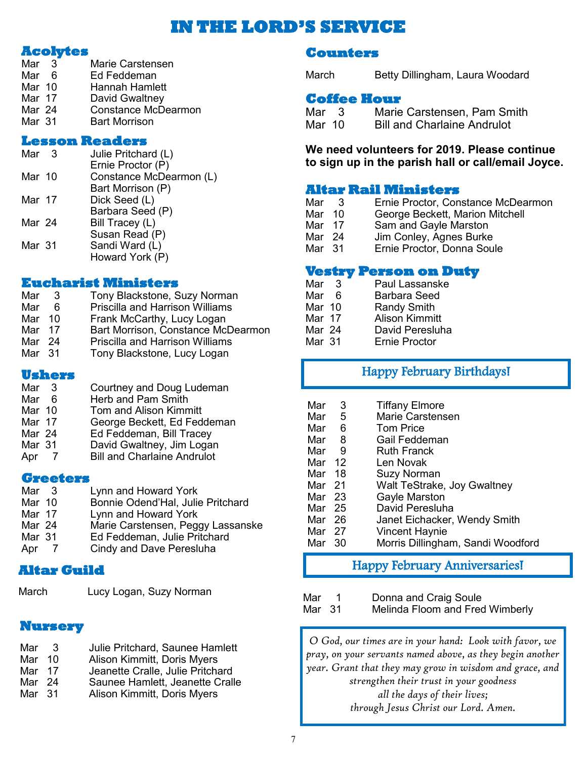### **IN THE LORD'S SERVICE**

#### **Acolytes**

| Mar 3  | Marie Carstensen           |
|--------|----------------------------|
| Mar 6  | Ed Feddeman                |
| Mar 10 | Hannah Hamlett             |
| Mar 17 | David Gwaltney             |
| Mar 24 | <b>Constance McDearmon</b> |
| Mar 31 | <b>Bart Morrison</b>       |
|        |                            |

#### **Lesson Readers**

| Mar    | - 3 | Julie Pritchard (L)     |
|--------|-----|-------------------------|
|        |     | Ernie Proctor (P)       |
| Mar 10 |     | Constance McDearmon (L) |
|        |     | Bart Morrison (P)       |
| Mar 17 |     | Dick Seed (L)           |
|        |     | Barbara Seed (P)        |
| Mar 24 |     | Bill Tracey (L)         |
|        |     | Susan Read (P)          |
| Mar 31 |     | Sandi Ward (L)          |
|        |     | Howard York (P)         |
|        |     |                         |

#### **Eucharist Ministers**

| Mar    | -3 | Tony Blackstone, Suzy Norman           |
|--------|----|----------------------------------------|
| Mar    | 6  | <b>Priscilla and Harrison Williams</b> |
| Mar 10 |    | Frank McCarthy, Lucy Logan             |
| Mar 17 |    | Bart Morrison, Constance McDearmon     |
| Mar 24 |    | <b>Priscilla and Harrison Williams</b> |
| Mar 31 |    | Tony Blackstone, Lucy Logan            |

#### **Ushers**

Mar 3 Courtney and Doug Ludeman Mar 6 Herb and Pam Smith Mar 10 Tom and Alison Kimmitt Mar 17 George Beckett, Ed Feddeman<br>Mar 24 Fd Feddeman Bill Tracey Mar 24 Ed Feddeman, Bill Tracey David Gwaltney, Jim Logan Apr 7 Bill and Charlaine Andrulot

## **Greeters**<br>Mar 3

Mar 3 Lynn and Howard York<br>Mar 10 Bonnie Odend'Hal. Juli Bonnie Odend'Hal, Julie Pritchard Mar 17 Lynn and Howard York<br>Mar 24 Marie Carstensen. Peg Mar 24 Marie Carstensen, Peggy Lassanske<br>Mar 31 Ed Feddeman, Julie Pritchard Mar 31 Ed Feddeman, Julie Pritchard<br>Apr 7 Cindy and Dave Peresluha Cindy and Dave Peresluha

#### **Altar Guild**

March Lucy Logan, Suzy Norman

#### **Nursery**

| Mar               | - 3 | Julie Pritchard, Saunee Hamlett  |
|-------------------|-----|----------------------------------|
| Mar 10            |     | Alison Kimmitt, Doris Myers      |
| Mar 17            |     | Jeanette Cralle, Julie Pritchard |
| Mar 24            |     | Saunee Hamlett, Jeanette Cralle  |
| Mar <sub>31</sub> |     | Alison Kimmitt, Doris Myers      |

#### **Counters**

March Betty Dillingham, Laura Woodard

#### **Coffee Hour**

| Mar <sub>3</sub> | Marie Carstensen, Pam Smith        |
|------------------|------------------------------------|
| Mar 10           | <b>Bill and Charlaine Andrulot</b> |

#### **We need volunteers for 2019. Please continue to sign up in the parish hall or call/email Joyce.**

#### **Altar Rail Ministers**

- Mar 3 Ernie Proctor, Constance McDearmon
- Mar 10 George Beckett, Marion Mitchell
- Mar 17 Sam and Gayle Marston<br>Mar 24 Jim Conlev. Agnes Burke
- Jim Conley, Agnes Burke
- Mar 31 Ernie Proctor, Donna Soule

#### **Vestry Person on Duty**

- Mar 3<sup>F</sup> Paul Lassanske<br>Mar 6F Barbara Seed
- Mar 6 Barbara Seed<br>Mar 10 Randy Smith
- Mar 10 Randy Smith<br>Mar 17 Alison Kimmi
- Mar 17 Alison Kimmitt<br>Mar 24 David Peresluh
- David Peresluha
- Mar 31 Ernie Proctor

### Happy February Birthdays!

| Mar    | 3    | <b>Tiffany Elmore</b>             |
|--------|------|-----------------------------------|
| Mar    | 5    | <b>Marie Carstensen</b>           |
| Mar    | 6    | <b>Tom Price</b>                  |
| Mar    | 8    | Gail Feddeman                     |
| Mar    | - 9  | <b>Ruth Franck</b>                |
| Mar    | 12   | Len Novak                         |
| Mar    | - 18 | Suzy Norman                       |
| Mar 21 |      | Walt TeStrake, Joy Gwaltney       |
| Mar 23 |      | Gayle Marston                     |
| Mar 25 |      | David Peresluha                   |
| Mar 26 |      | Janet Eichacker, Wendy Smith      |
| Mar    | - 27 | <b>Vincent Haynie</b>             |
| Mar    | 30   | Morris Dillingham, Sandi Woodford |

### Happy February Anniversaries!

| Mar    | Donna and Craig Soule           |
|--------|---------------------------------|
| Mar 31 | Melinda Floom and Fred Wimberly |

*O God, our times are in your hand: Look with favor, we pray, on your servants named above, as they begin another year. Grant that they may grow in wisdom and grace, and strengthen their trust in your goodness all the days of their lives; through Jesus Christ our Lord. Amen.*